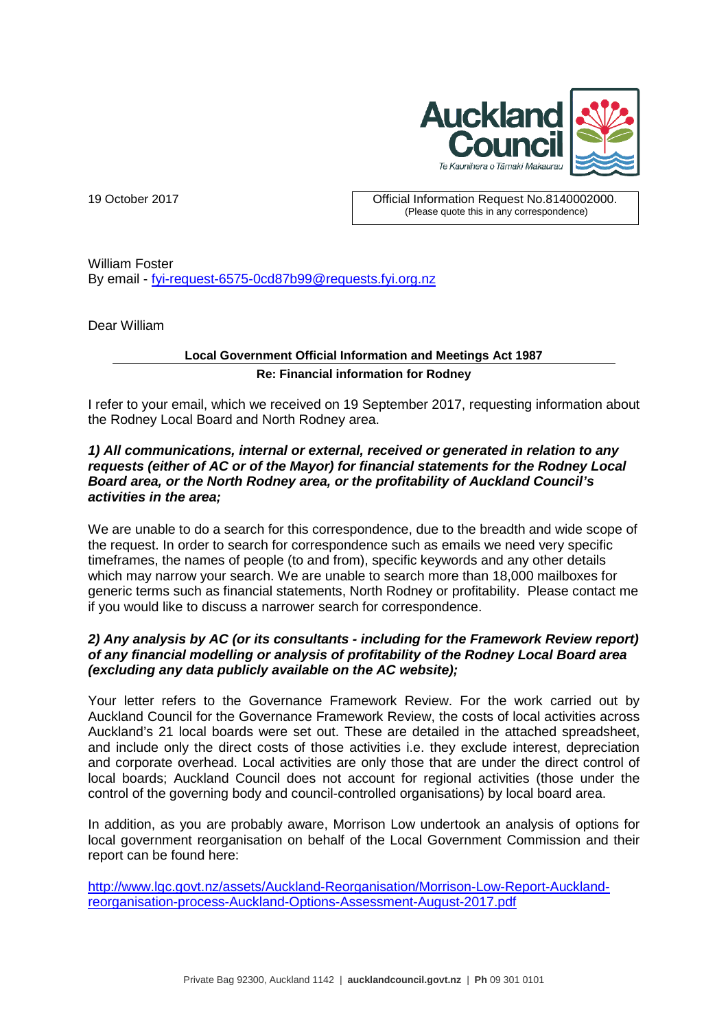

19 October 2017 Official Information Request No.8140002000. (Please quote this in any correspondence)

William Foster By email - [fyi-request-6575-0cd87b99@requests.fyi.org.nz](mailto:xxxxxxxxxxxxxxxxxxxxxxxxx@xxxxxxxx.xxx.xxx.xx)

Dear William

## **Local Government Official Information and Meetings Act 1987 Re: Financial information for Rodney**

I refer to your email, which we received on 19 September 2017, requesting information about the Rodney Local Board and North Rodney area.

## *1) All communications, internal or external, received or generated in relation to any requests (either of AC or of the Mayor) for financial statements for the Rodney Local Board area, or the North Rodney area, or the profitability of Auckland Council's activities in the area;*

We are unable to do a search for this correspondence, due to the breadth and wide scope of the request. In order to search for correspondence such as emails we need very specific timeframes, the names of people (to and from), specific keywords and any other details which may narrow your search. We are unable to search more than 18,000 mailboxes for generic terms such as financial statements, North Rodney or profitability. Please contact me if you would like to discuss a narrower search for correspondence.

## *2) Any analysis by AC (or its consultants - including for the Framework Review report) of any financial modelling or analysis of profitability of the Rodney Local Board area (excluding any data publicly available on the AC website);*

Your letter refers to the Governance Framework Review. For the work carried out by Auckland Council for the Governance Framework Review, the costs of local activities across Auckland's 21 local boards were set out. These are detailed in the attached spreadsheet, and include only the direct costs of those activities i.e. they exclude interest, depreciation and corporate overhead. Local activities are only those that are under the direct control of local boards; Auckland Council does not account for regional activities (those under the control of the governing body and council-controlled organisations) by local board area.

In addition, as you are probably aware, Morrison Low undertook an analysis of options for local government reorganisation on behalf of the Local Government Commission and their report can be found here:

[http://www.lgc.govt.nz/assets/Auckland-Reorganisation/Morrison-Low-Report-Auckland](http://www.lgc.govt.nz/assets/Auckland-Reorganisation/Morrison-Low-Report-Auckland-reorganisation-process-Auckland-Options-Assessment-August-2017.pdf)[reorganisation-process-Auckland-Options-Assessment-August-2017.pdf](http://www.lgc.govt.nz/assets/Auckland-Reorganisation/Morrison-Low-Report-Auckland-reorganisation-process-Auckland-Options-Assessment-August-2017.pdf)